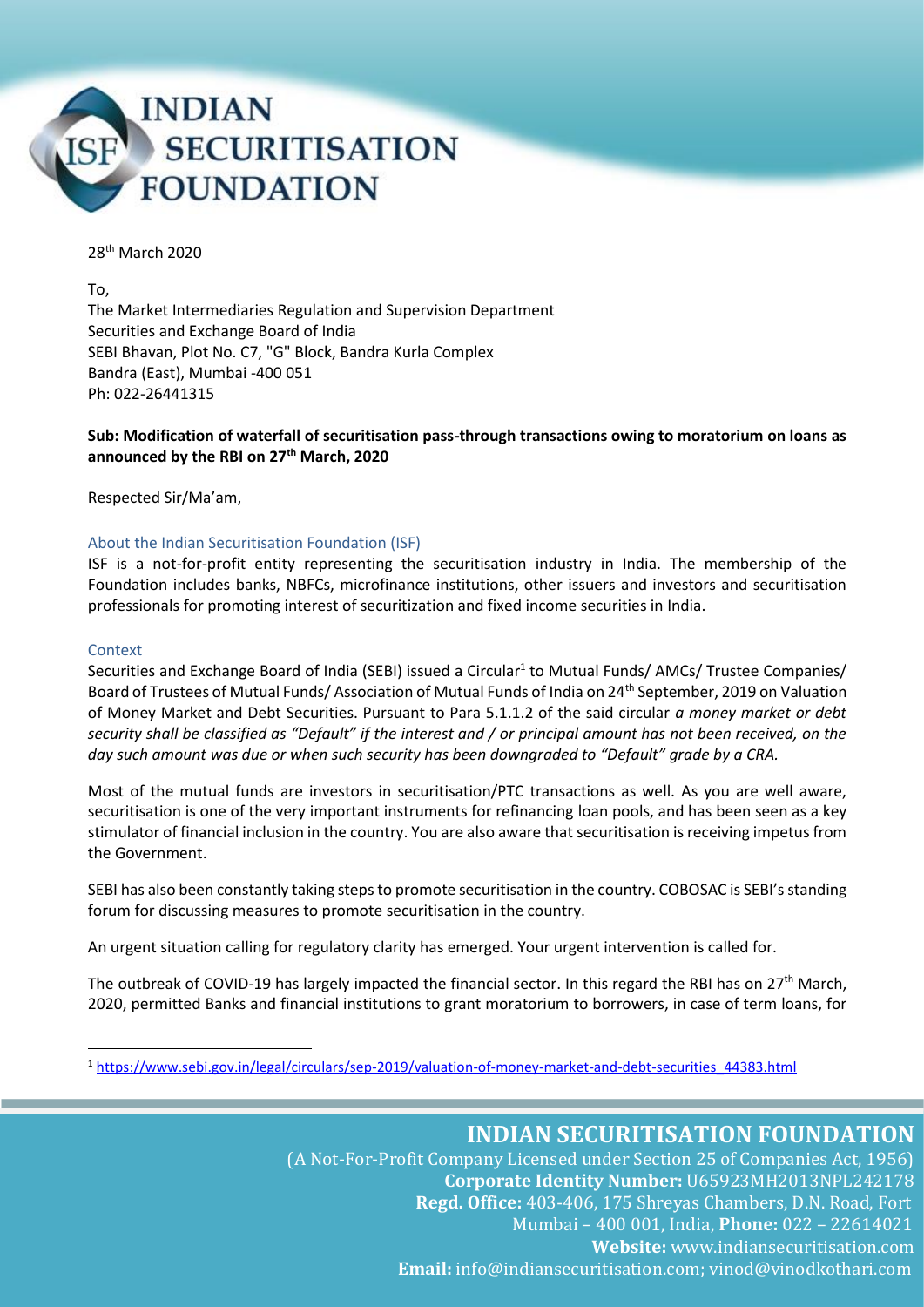

28th March 2020

To,

The Market Intermediaries Regulation and Supervision Department Securities and Exchange Board of India SEBI Bhavan, Plot No. C7, "G" Block, Bandra Kurla Complex Bandra (East), Mumbai -400 051 Ph: 022-26441315

**Sub: Modification of waterfall of securitisation pass-through transactions owing to moratorium on loans as announced by the RBI on 27th March, 2020** 

Respected Sir/Ma'am,

### About the Indian Securitisation Foundation (ISF)

ISF is a not-for-profit entity representing the securitisation industry in India. The membership of the Foundation includes banks, NBFCs, microfinance institutions, other issuers and investors and securitisation professionals for promoting interest of securitization and fixed income securities in India.

#### **Context**

Securities and Exchange Board of India (SEBI) issued a Circular<sup>1</sup> to Mutual Funds/ AMCs/ Trustee Companies/ Board of Trustees of Mutual Funds/ Association of Mutual Funds of India on 24th September, 2019 on Valuation of Money Market and Debt Securities. Pursuant to Para 5.1.1.2 of the said circular *a money market or debt security shall be classified as "Default" if the interest and / or principal amount has not been received, on the day such amount was due or when such security has been downgraded to "Default" grade by a CRA.*

Most of the mutual funds are investors in securitisation/PTC transactions as well. As you are well aware, securitisation is one of the very important instruments for refinancing loan pools, and has been seen as a key stimulator of financial inclusion in the country. You are also aware that securitisation is receiving impetus from the Government.

SEBI has also been constantly taking steps to promote securitisation in the country. COBOSAC is SEBI's standing forum for discussing measures to promote securitisation in the country.

An urgent situation calling for regulatory clarity has emerged. Your urgent intervention is called for.

The outbreak of COVID-19 has largely impacted the financial sector. In this regard the RBI has on 27<sup>th</sup> March, 2020, permitted Banks and financial institutions to grant moratorium to borrowers, in case of term loans, for

**INDIAN SECURITISATION FOUNDATION** (A Not-For-Profit Company Licensed under Section 25 of Companies Act, 1956) **Corporate Identity Number:** U65923MH2013NPL242178  **Regd. Office:** 403-406, 175 Shreyas Chambers, D.N. Road, Fort Mumbai – 400 001, India, **Phone:** 022 – 22614021  **Website:** www.indiansecuritisation.com  **Email:** info@indiansecuritisation.com; vinod@vinodkothari.com

<sup>1</sup> [https://www.sebi.gov.in/legal/circulars/sep-2019/valuation-of-money-market-and-debt-securities\\_44383.html](https://www.sebi.gov.in/legal/circulars/sep-2019/valuation-of-money-market-and-debt-securities_44383.html)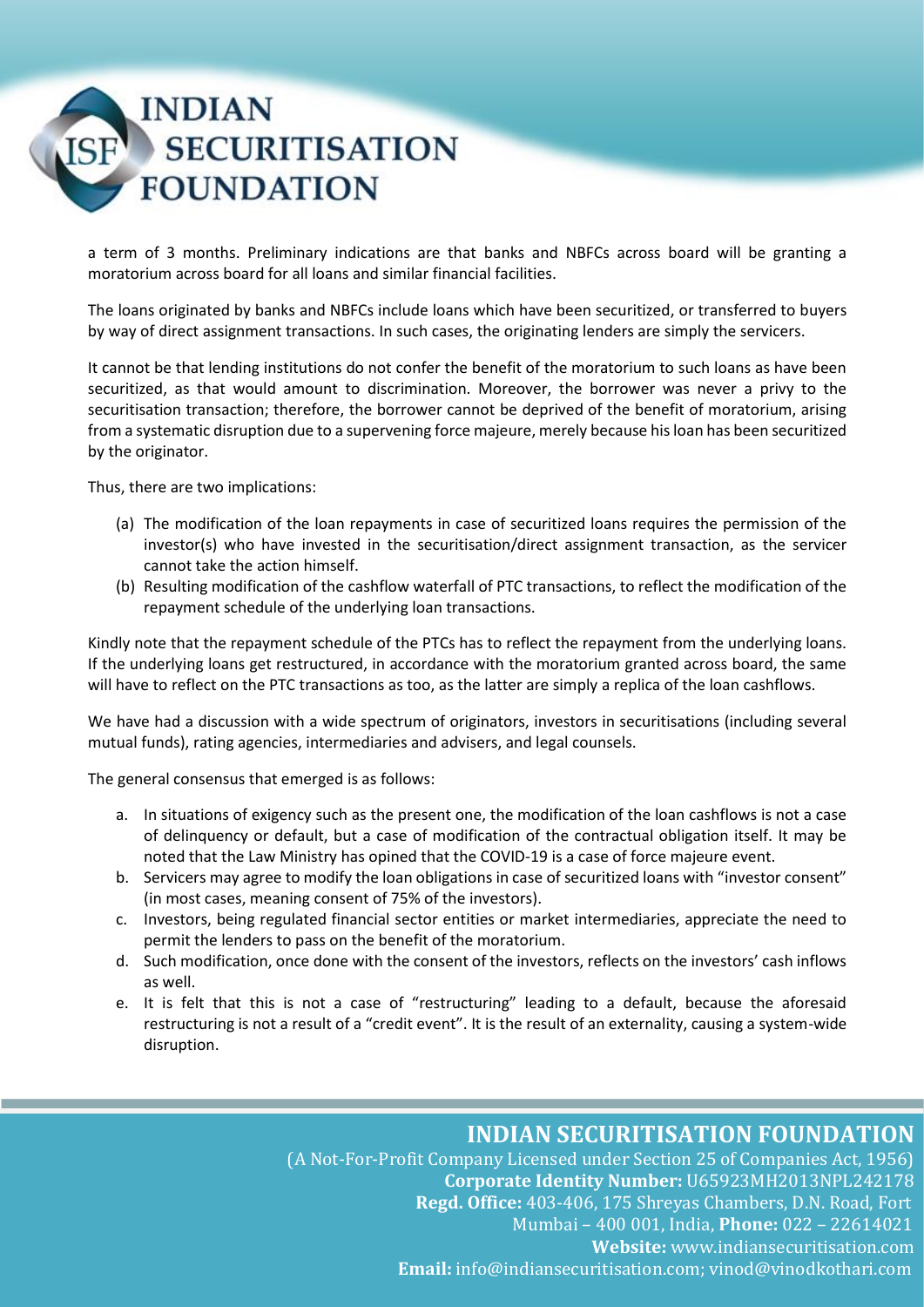

a term of 3 months. Preliminary indications are that banks and NBFCs across board will be granting a moratorium across board for all loans and similar financial facilities.

The loans originated by banks and NBFCs include loans which have been securitized, or transferred to buyers by way of direct assignment transactions. In such cases, the originating lenders are simply the servicers.

It cannot be that lending institutions do not confer the benefit of the moratorium to such loans as have been securitized, as that would amount to discrimination. Moreover, the borrower was never a privy to the securitisation transaction; therefore, the borrower cannot be deprived of the benefit of moratorium, arising from a systematic disruption due to a supervening force majeure, merely because his loan has been securitized by the originator.

Thus, there are two implications:

- (a) The modification of the loan repayments in case of securitized loans requires the permission of the investor(s) who have invested in the securitisation/direct assignment transaction, as the servicer cannot take the action himself.
- (b) Resulting modification of the cashflow waterfall of PTC transactions, to reflect the modification of the repayment schedule of the underlying loan transactions.

Kindly note that the repayment schedule of the PTCs has to reflect the repayment from the underlying loans. If the underlying loans get restructured, in accordance with the moratorium granted across board, the same will have to reflect on the PTC transactions as too, as the latter are simply a replica of the loan cashflows.

We have had a discussion with a wide spectrum of originators, investors in securitisations (including several mutual funds), rating agencies, intermediaries and advisers, and legal counsels.

The general consensus that emerged is as follows:

- a. In situations of exigency such as the present one, the modification of the loan cashflows is not a case of delinquency or default, but a case of modification of the contractual obligation itself. It may be noted that the Law Ministry has opined that the COVID-19 is a case of force majeure event.
- b. Servicers may agree to modify the loan obligations in case of securitized loans with "investor consent" (in most cases, meaning consent of 75% of the investors).
- c. Investors, being regulated financial sector entities or market intermediaries, appreciate the need to permit the lenders to pass on the benefit of the moratorium.
- d. Such modification, once done with the consent of the investors, reflects on the investors' cash inflows as well.
- e. It is felt that this is not a case of "restructuring" leading to a default, because the aforesaid restructuring is not a result of a "credit event". It is the result of an externality, causing a system-wide disruption.

# **INDIAN SECURITISATION FOUNDATION**

(A Not-For-Profit Company Licensed under Section 25 of Companies Act, 1956) **Corporate Identity Number:** U65923MH2013NPL242178  **Regd. Office:** 403-406, 175 Shreyas Chambers, D.N. Road, Fort Mumbai – 400 001, India, **Phone:** 022 – 22614021  **Website:** www.indiansecuritisation.com  **Email:** info@indiansecuritisation.com; vinod@vinodkothari.com